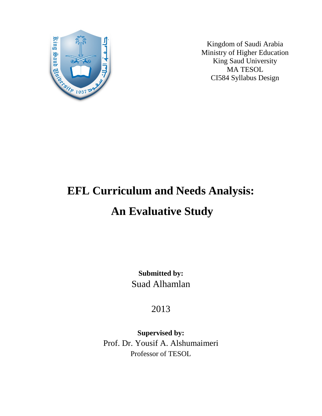

Kingdom of Saudi Arabia Ministry of Higher Education King Saud University MA TESOL CI584 Syllabus Design

# **EFL Curriculum and Needs Analysis: An Evaluative Study**

**Submitted by:** Suad Alhamlan

2013

**Supervised by:** Prof. Dr. Yousif A. Alshumaimeri Professor of TESOL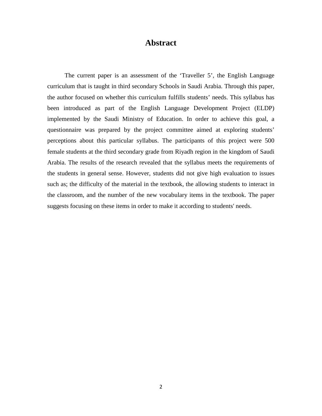# **Abstract**

 The current paper is an assessment of the 'Traveller 5', the English Language curriculum that is taught in third secondary Schools in Saudi Arabia. Through this paper, the author focused on whether this curriculum fulfills students' needs. This syllabus has been introduced as part of the English Language Development Project (ELDP) implemented by the Saudi Ministry of Education. In order to achieve this goal, a questionnaire was prepared by the project committee aimed at exploring students' perceptions about this particular syllabus. The participants of this project were 500 female students at the third secondary grade from Riyadh region in the kingdom of Saudi Arabia. The results of the research revealed that the syllabus meets the requirements of the students in general sense. However, students did not give high evaluation to issues such as; the difficulty of the material in the textbook, the allowing students to interact in the classroom, and the number of the new vocabulary items in the textbook. The paper suggests focusing on these items in order to make it according to students' needs.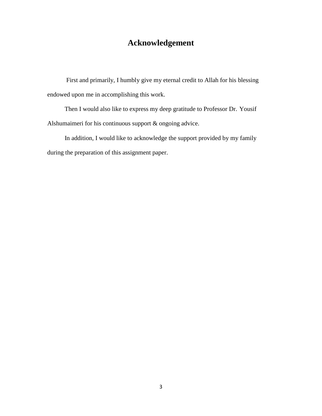# **Acknowledgement**

First and primarily, I humbly give my eternal credit to Allah for his blessing endowed upon me in accomplishing this work.

 Then I would also like to express my deep gratitude to Professor Dr. Yousif Alshumaimeri for his continuous support & ongoing advice.

 In addition, I would like to acknowledge the support provided by my family during the preparation of this assignment paper.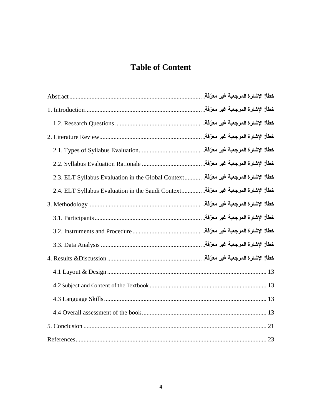# **Table of Content**

|                                                    |  | خطأ! الإشارة المرجعية غير معرّفة.   |  |
|----------------------------------------------------|--|-------------------------------------|--|
|                                                    |  | خطأ! الإشارة المرجعية غير معرّفة.   |  |
|                                                    |  | خطأ! الإشارة المرجعية غير معرّفة.   |  |
|                                                    |  | خطأ! الإشارة المرجعية غير معرّفة.   |  |
|                                                    |  | خطأ! الإشارة المرجعية غير معرّفة.   |  |
|                                                    |  | خطأ! الإشارة المرجعية غير معرّفة. . |  |
| 2.3. ELT Syllabus Evaluation in the Global Context |  | خطأ! الإشارة المرجعية غير معرّفة.   |  |
| 2.4. ELT Syllabus Evaluation in the Saudi Context  |  | خطأ! الإشارة المرجعية غير معرّفة.   |  |
|                                                    |  | خطأ! الإشارة المرجعية غير معرّفة.   |  |
|                                                    |  | خطأ! الإشارة المرجعية غير معرّفة.   |  |
|                                                    |  | خطأ! الإشارة المرجعية غير معرّفة.   |  |
|                                                    |  | خطأ! الإشارة المرجعية غير معرّفة.   |  |
|                                                    |  | خطأ! الإشارة المرجعية غير معرّفة. . |  |
|                                                    |  |                                     |  |
|                                                    |  |                                     |  |
|                                                    |  |                                     |  |
|                                                    |  |                                     |  |
|                                                    |  |                                     |  |
|                                                    |  |                                     |  |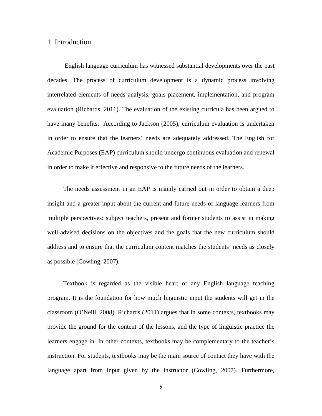## 1. Introduction

 English language curriculum has witnessed substantial developments over the past decades. The process of curriculum development is a dynamic process involving interrelated elements of needs analysis, goals placement, implementation, and program evaluation (Richards, 2011). The evaluation of the existing curricula has been argued to have many benefits. According to Jackson (2005), curriculum evaluation is undertaken in order to ensure that the learners' needs are adequately addressed. The English for Academic Purposes (EAP) curriculum should undergo continuous evaluation and renewal in order to make it effective and responsive to the future needs of the learners.

 The needs assessment in an EAP is mainly carried out in order to obtain a deep insight and a greater input about the current and future needs of language learners from multiple perspectives: subject teachers, present and former students to assist in making well-advised decisions on the objectives and the goals that the new curriculum should address and to ensure that the curriculum content matches the students' needs as closely as possible (Cowling, 2007).

 Textbook is regarded as the visible heart of any English language teaching program. It is the foundation for how much linguistic input the students will get in the classroom (O'Neill, 2008). Richards (2011) argues that in some contexts, textbooks may provide the ground for the content of the lessons, and the type of linguistic practice the learners engage in. In other contexts, textbooks may be complementary to the teacher's instruction. For students, textbooks may be the main source of contact they have with the language apart from input given by the instructor (Cowling, 2007). Furthermore,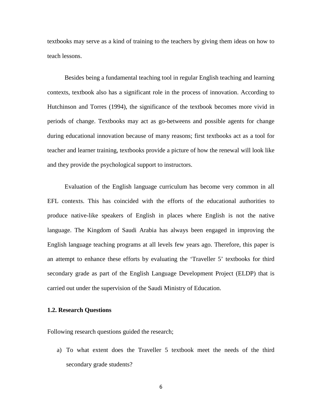textbooks may serve as a kind of training to the teachers by giving them ideas on how to teach lessons.

 Besides being a fundamental teaching tool in regular English teaching and learning contexts, textbook also has a significant role in the process of innovation. According to Hutchinson and Torres (1994), the significance of the textbook becomes more vivid in periods of change. Textbooks may act as go-betweens and possible agents for change during educational innovation because of many reasons; first textbooks act as a tool for teacher and learner training, textbooks provide a picture of how the renewal will look like and they provide the psychological support to instructors.

 Evaluation of the English language curriculum has become very common in all EFL contexts. This has coincided with the efforts of the educational authorities to produce native-like speakers of English in places where English is not the native language. The Kingdom of Saudi Arabia has always been engaged in improving the English language teaching programs at all levels few years ago. Therefore, this paper is an attempt to enhance these efforts by evaluating the 'Traveller 5' textbooks for third secondary grade as part of the English Language Development Project (ELDP) that is carried out under the supervision of the Saudi Ministry of Education.

#### **1.2. Research Questions**

Following research questions guided the research;

a) To what extent does the Traveller 5 textbook meet the needs of the third secondary grade students?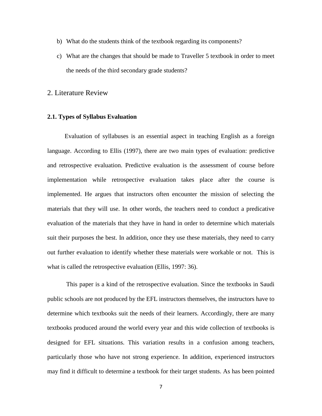- b) What do the students think of the textbook regarding its components?
- c) What are the changes that should be made to Traveller 5 textbook in order to meet the needs of the third secondary grade students?
- 2. Literature Review

#### **2.1. Types of Syllabus Evaluation**

 Evaluation of syllabuses is an essential aspect in teaching English as a foreign language. According to Ellis (1997), there are two main types of evaluation: predictive and retrospective evaluation. Predictive evaluation is the assessment of course before implementation while retrospective evaluation takes place after the course is implemented. He argues that instructors often encounter the mission of selecting the materials that they will use. In other words, the teachers need to conduct a predicative evaluation of the materials that they have in hand in order to determine which materials suit their purposes the best. In addition, once they use these materials, they need to carry out further evaluation to identify whether these materials were workable or not. This is what is called the retrospective evaluation (Ellis, 1997: 36).

This paper is a kind of the retrospective evaluation. Since the textbooks in Saudi public schools are not produced by the EFL instructors themselves, the instructors have to determine which textbooks suit the needs of their learners. Accordingly, there are many textbooks produced around the world every year and this wide collection of textbooks is designed for EFL situations. This variation results in a confusion among teachers, particularly those who have not strong experience. In addition, experienced instructors may find it difficult to determine a textbook for their target students. As has been pointed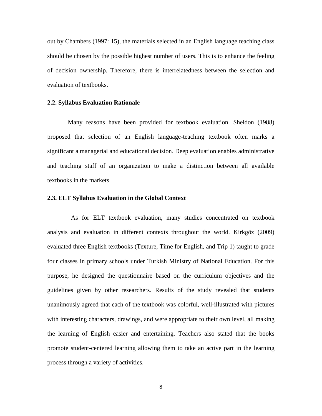out by Chambers (1997: 15), the materials selected in an English language teaching class should be chosen by the possible highest number of users. This is to enhance the feeling of decision ownership. Therefore, there is interrelatedness between the selection and evaluation of textbooks.

#### **2.2. Syllabus Evaluation Rationale**

Many reasons have been provided for textbook evaluation. Sheldon (1988) proposed that selection of an English language-teaching textbook often marks a significant a managerial and educational decision. Deep evaluation enables administrative and teaching staff of an organization to make a distinction between all available textbooks in the markets.

#### **2.3. ELT Syllabus Evaluation in the Global Context**

 As for ELT textbook evaluation, many studies concentrated on textbook analysis and evaluation in different contexts throughout the world. Kirkgöz (2009) evaluated three English textbooks (Texture, Time for English, and Trip 1) taught to grade four classes in primary schools under Turkish Ministry of National Education. For this purpose, he designed the questionnaire based on the curriculum objectives and the guidelines given by other researchers. Results of the study revealed that students unanimously agreed that each of the textbook was colorful, well-illustrated with pictures with interesting characters, drawings, and were appropriate to their own level, all making the learning of English easier and entertaining. Teachers also stated that the books promote student-centered learning allowing them to take an active part in the learning process through a variety of activities.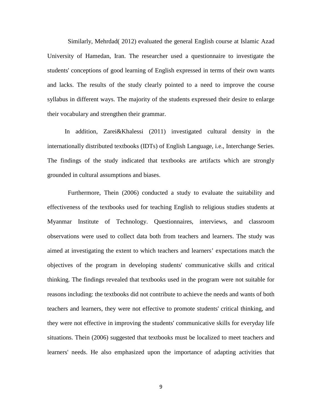Similarly, Mehrdad( 2012) evaluated the general English course at Islamic Azad University of Hamedan, Iran. The researcher used a questionnaire to investigate the students' conceptions of good learning of English expressed in terms of their own wants and lacks. The results of the study clearly pointed to a need to improve the course syllabus in different ways. The majority of the students expressed their desire to enlarge their vocabulary and strengthen their grammar.

 In addition, Zarei&Khalessi (2011) investigated cultural density in the internationally distributed textbooks (IDTs) of English Language, i.e., Interchange Series. The findings of the study indicated that textbooks are artifacts which are strongly grounded in cultural assumptions and biases.

Furthermore, Thein (2006) conducted a study to evaluate the suitability and effectiveness of the textbooks used for teaching English to religious studies students at Myanmar Institute of Technology. Questionnaires, interviews, and classroom observations were used to collect data both from teachers and learners. The study was aimed at investigating the extent to which teachers and learners' expectations match the objectives of the program in developing students' communicative skills and critical thinking. The findings revealed that textbooks used in the program were not suitable for reasons including: the textbooks did not contribute to achieve the needs and wants of both teachers and learners, they were not effective to promote students' critical thinking, and they were not effective in improving the students' communicative skills for everyday life situations. Thein (2006) suggested that textbooks must be localized to meet teachers and learners' needs. He also emphasized upon the importance of adapting activities that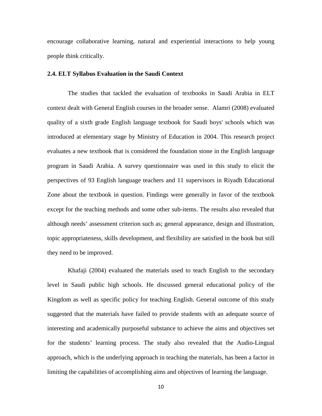encourage collaborative learning, natural and experiential interactions to help young people think critically.

#### **2.4. ELT Syllabus Evaluation in the Saudi Context**

The studies that tackled the evaluation of textbooks in Saudi Arabia in ELT context dealt with General English courses in the broader sense. Alamri (2008) evaluated quality of a sixth grade English language textbook for Saudi boys' schools which was introduced at elementary stage by Ministry of Education in 2004. This research project evaluates a new textbook that is considered the foundation stone in the English language program in Saudi Arabia. A survey questionnaire was used in this study to elicit the perspectives of 93 English language teachers and 11 supervisors in Riyadh Educational Zone about the textbook in question. Findings were generally in favor of the textbook except for the teaching methods and some other sub-items. The results also revealed that although needs' assessment criterion such as; general appearance, design and illustration, topic appropriateness, skills development, and flexibility are satisfied in the book but still they need to be improved.

Khafaji (2004) evaluated the materials used to teach English to the secondary level in Saudi public high schools. He discussed general educational policy of the Kingdom as well as specific policy for teaching English. General outcome of this study suggested that the materials have failed to provide students with an adequate source of interesting and academically purposeful substance to achieve the aims and objectives set for the students' learning process. The study also revealed that the Audio-Lingual approach, which is the underlying approach in teaching the materials, has been a factor in limiting the capabilities of accomplishing aims and objectives of learning the language.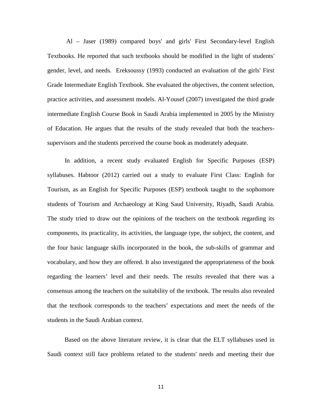Al – Jaser (1989) compared boys' and girls' First Secondary-level English Textbooks. He reported that such textbooks should be modified in the light of students' gender, level, and needs. Ereksoussy (1993) conducted an evaluation of the girls' First Grade Intermediate English Textbook. She evaluated the objectives, the content selection, practice activities, and assessment models. Al-Yousef (2007) investigated the third grade intermediate English Course Book in Saudi Arabia implemented in 2005 by the Ministry of Education. He argues that the results of the study revealed that both the teacherssupervisors and the students perceived the course book as moderately adequate.

 In addition, a recent study evaluated English for Specific Purposes (ESP) syllabuses. Habtoor (2012) carried out a study to evaluate First Class: English for Tourism, as an English for Specific Purposes (ESP) textbook taught to the sophomore students of Tourism and Archaeology at King Saud University, Riyadh, Saudi Arabia. The study tried to draw out the opinions of the teachers on the textbook regarding its components, its practicality, its activities, the language type, the subject, the content, and the four basic language skills incorporated in the book, the sub-skills of grammar and vocabulary, and how they are offered. It also investigated the appropriateness of the book regarding the learners' level and their needs. The results revealed that there was a consensus among the teachers on the suitability of the textbook. The results also revealed that the textbook corresponds to the teachers' expectations and meet the needs of the students in the Saudi Arabian context.

 Based on the above literature review, it is clear that the ELT syllabuses used in Saudi context still face problems related to the students' needs and meeting their due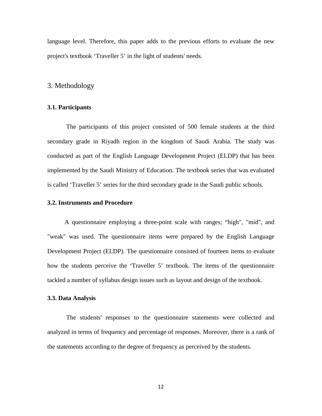language level. Therefore, this paper adds to the previous efforts to evaluate the new project's textbook 'Traveller 5' in the light of students' needs.

#### 3. Methodology

#### **3.1. Participants**

The participants of this project consisted of 500 female students at the third secondary grade in Riyadh region in the kingdom of Saudi Arabia. The study was conducted as part of the English Language Development Project (ELDP) that has been implemented by the Saudi Ministry of Education. The textbook series that was evaluated is called 'Traveller 5' series for the third secondary grade in the Saudi public schools.

#### **3.2. Instruments and Procedure**

 A questionnaire employing a three-point scale with ranges; "high", "mid", and "weak" was used. The questionnaire items were prepared by the English Language Development Project (ELDP). The questionnaire consisted of fourteen items to evaluate how the students perceive the 'Traveller 5' textbook. The items of the questionnaire tackled a number of syllabus design issues such as layout and design of the textbook.

#### **3.3. Data Analysis**

The students' responses to the questionnaire statements were collected and analyzed in terms of frequency and percentage of responses. Moreover, there is a rank of the statements according to the degree of frequency as perceived by the students.

12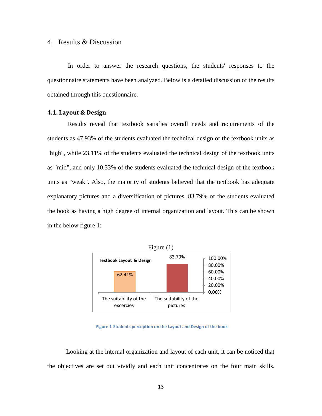### 4. Results & Discussion

In order to answer the research questions, the students' responses to the questionnaire statements have been analyzed. Below is a detailed discussion of the results obtained through this questionnaire.

#### <span id="page-12-0"></span>**4.1. Layout & Design**

Results reveal that textbook satisfies overall needs and requirements of the students as 47.93% of the students evaluated the technical design of the textbook units as "high", while 23.11% of the students evaluated the technical design of the textbook units as "mid", and only 10.33% of the students evaluated the technical design of the textbook units as "weak". Also, the majority of students believed that the textbook has adequate explanatory pictures and a diversification of pictures. 83.79% of the students evaluated the book as having a high degree of internal organization and layout. This can be shown in the below figure 1:



 **Figure 1-Students perception on the Layout and Design of the book**

Looking at the internal organization and layout of each unit, it can be noticed that the objectives are set out vividly and each unit concentrates on the four main skills.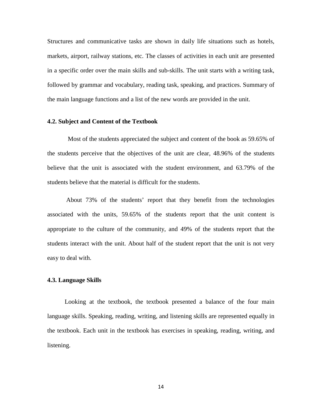Structures and communicative tasks are shown in daily life situations such as hotels, markets, airport, railway stations, etc. The classes of activities in each unit are presented in a specific order over the main skills and sub-skills. The unit starts with a writing task, followed by grammar and vocabulary, reading task, speaking, and practices. Summary of the main language functions and a list of the new words are provided in the unit.

#### **4.2. Subject and Content of the Textbook**

Most of the students appreciated the subject and content of the book as 59.65% of the students perceive that the objectives of the unit are clear, 48.96% of the students believe that the unit is associated with the student environment, and 63.79% of the students believe that the material is difficult for the students.

About 73% of the students' report that they benefit from the technologies associated with the units, 59.65% of the students report that the unit content is appropriate to the culture of the community, and 49% of the students report that the students interact with the unit. About half of the student report that the unit is not very easy to deal with.

#### **4.3. Language Skills**

 Looking at the textbook, the textbook presented a balance of the four main language skills. Speaking, reading, writing, and listening skills are represented equally in the textbook. Each unit in the textbook has exercises in speaking, reading, writing, and listening.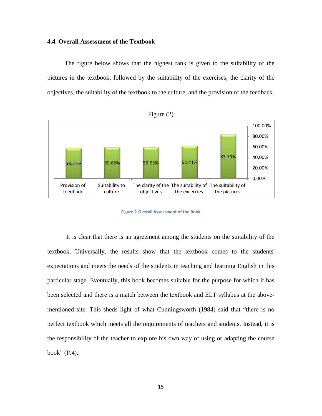#### **4.4. Overall Assessment of the Textbook**

 The figure below shows that the highest rank is given to the suitability of the pictures in the textbook, followed by the suitability of the exercises, the clarity of the objectives, the suitability of the textbook to the culture, and the provision of the feedback.



**Figure 2-Overall Assessment of the Book**

It is clear that there is an agreement among the students on the suitability of the textbook. Universally, the results show that the textbook comes to the students' expectations and meets the needs of the students in teaching and learning English in this particular stage. Eventually, this book becomes suitable for the purpose for which it has been selected and there is a match between the textbook and ELT syllabus at the abovementioned site. This sheds light of what Cunningsworth (1984) said that "there is no perfect textbook which meets all the requirements of teachers and students. Instead, it is the responsibility of the teacher to explore his own way of using or adapting the course book" (P.4).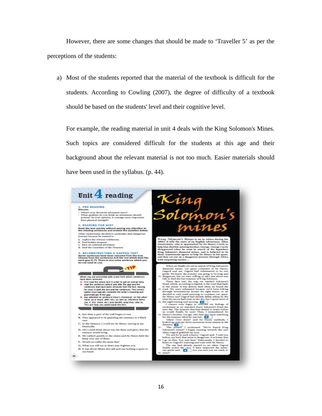However, there are some changes that should be made to 'Traveller 5' as per the perceptions of the students:

a) Most of the students reported that the material of the textbook is difficult for the students. According to Cowling (2007), the degree of difficulty of a textbook should be based on the students' level and their cognitive level.

For example, the reading material in unit 4 deals with the King Solomon's Mines. Such topics are considered difficult for the students at this age and their background about the relevant material is not too much. Easier materials should have been used in the syllabus. (p. 44).

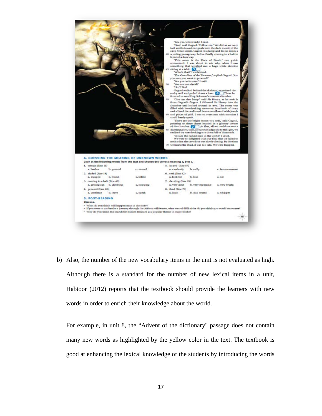

b) Also, the number of the new vocabulary items in the unit is not evaluated as high. Although there is a standard for the number of new lexical items in a unit, Habtoor (2012) reports that the textbook should provide the learners with new words in order to enrich their knowledge about the world.

For example, in unit 8, the "Advent of the dictionary" passage does not contain many new words as highlighted by the yellow color in the text. The textbook is good at enhancing the lexical knowledge of the students by introducing the words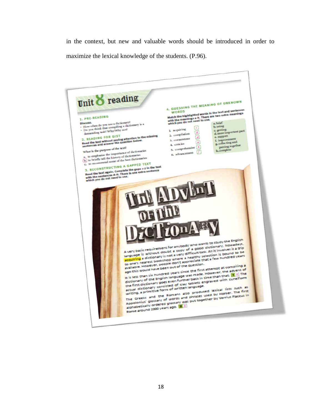in the context, but new and valuable words should be introduced in order to maximize the lexical knowledge of the students. (P.96).

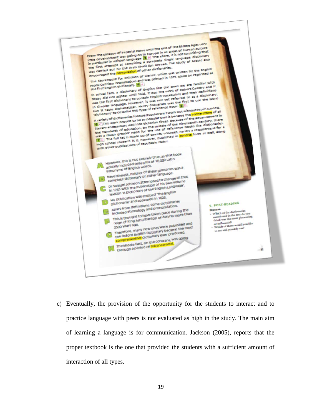

c) Eventually, the provision of the opportunity for the students to interact and to practice language with peers is not evaluated as high in the study. The main aim of learning a language is for communication. Jackson (2005), reports that the proper textbook is the one that provided the students with a sufficient amount of interaction of all types.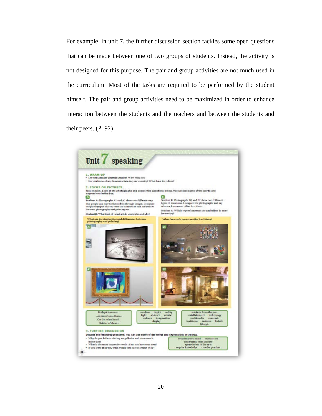For example, in unit 7, the further discussion section tackles some open questions that can be made between one of two groups of students. Instead, the activity is not designed for this purpose. The pair and group activities are not much used in the curriculum. Most of the tasks are required to be performed by the student himself. The pair and group activities need to be maximized in order to enhance interaction between the students and the teachers and between the students and their peers. (P. 92).

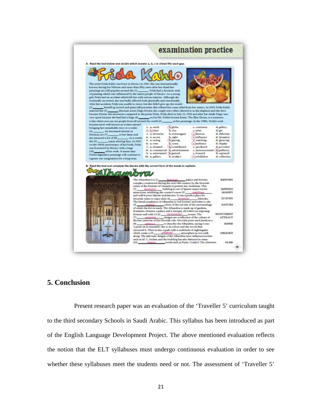

# **5. Conclusion**

 Present research paper was an evaluation of the 'Traveller 5' curriculum taught to the third secondary Schools in Saudi Arabic. This syllabus has been introduced as part of the English Language Development Project. The above mentioned evaluation reflects the notion that the ELT syllabuses must undergo continuous evaluation in order to see whether these syllabuses meet the students need or not. The assessment of 'Traveller 5'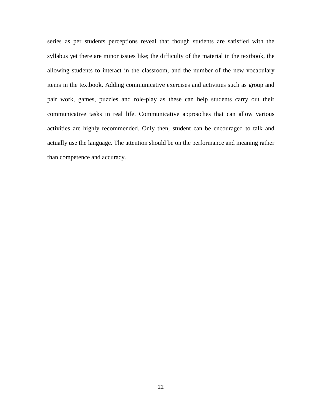series as per students perceptions reveal that though students are satisfied with the syllabus yet there are minor issues like; the difficulty of the material in the textbook, the allowing students to interact in the classroom, and the number of the new vocabulary items in the textbook. Adding communicative exercises and activities such as group and pair work, games, puzzles and role-play as these can help students carry out their communicative tasks in real life. Communicative approaches that can allow various activities are highly recommended. Only then, student can be encouraged to talk and actually use the language. The attention should be on the performance and meaning rather than competence and accuracy.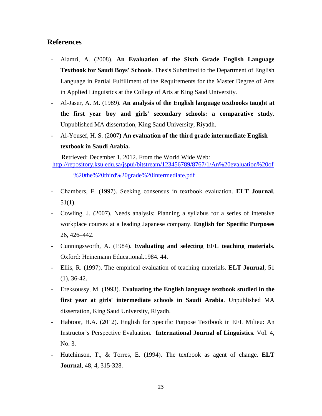# **References**

- Alamri, A. (2008). **An Evaluation of the Sixth Grade English Language Textbook for Saudi Boys' Schools**. Thesis Submitted to the Department of English Language in Partial Fulfillment of the Requirements for the Master Degree of Arts in Applied Linguistics at the College of Arts at King Saud University.
- Al-Jaser, A. M. (1989). **An analysis of the English language textbooks taught at the first year boy and girls' secondary schools: a comparative study**. Unpublished MA dissertation, King Saud University, Riyadh.
- Al-Yousef, H. S. (2007**) An evaluation of the third grade intermediate English textbook in Saudi Arabia.**

 Retrieved: December 1, 2012. From the World Wide Web: [http://repository.ksu.edu.sa/jspui/bitstream/123456789/8767/1/An%20evaluation%20of](http://repository.ksu.edu.sa/jspui/bitstream/123456789/8767/1/An%20evaluation%20of%20the%20third%20grade%20intermediate.pdf) [%20the%20third%20grade%20intermediate.pdf](http://repository.ksu.edu.sa/jspui/bitstream/123456789/8767/1/An%20evaluation%20of%20the%20third%20grade%20intermediate.pdf)

- Chambers, F. (1997). Seeking consensus in textbook evaluation. **ELT Journal**. 51(1).
- Cowling, J. (2007). Needs analysis: Planning a syllabus for a series of intensive workplace courses at a leading Japanese company. **English for Specific Purposes** 26, 426–442.
- Cunningsworth, A. (1984). **Evaluating and selecting EFL teaching materials.**  Oxford: Heinemann Educational.1984. 44.
- Ellis, R. (1997). The empirical evaluation of teaching materials. **ELT Journal**, 51 (1), 36-42.
- Ereksoussy, M. (1993). **Evaluating the English language textbook studied in the first year at girls' intermediate schools in Saudi Arabia**. Unpublished MA dissertation, King Saud University, Riyadh.
- Habtoor, H.A. (2012). English for Specific Purpose Textbook in EFL Milieu: An Instructor's Perspective Evaluation. **International Journal of Linguistics***.* Vol. 4, No. 3.
- Hutchinson, T., & Torres, E. (1994). The textbook as agent of change. **ELT Journal***,* 48, 4, 315-328.